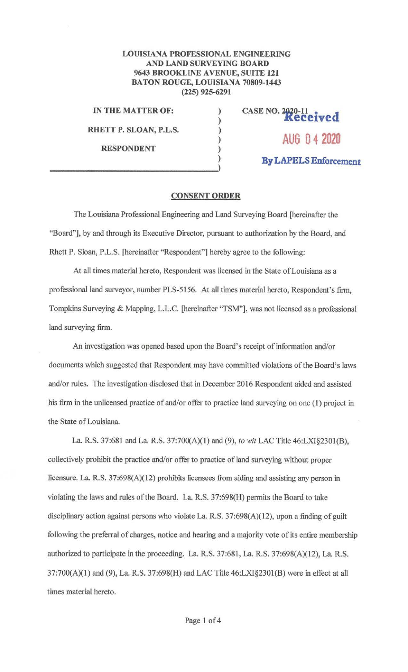## **LOUISIANA PROFESSIONAL ENGINEERING AND LAND SURVEYING BOARD 9643 BROOKLINE AVENUE, SUITE 121 BATON ROUGE, LOUISIANA 70809-1443 (225) 925-6291**

) ) ) ) )

**IN THE MATTER OF:** )

**RHETT P. SLOAN, P.L.S.** 

**RESPONDENT** 

**CASE NO. 1,jZ0-11 • d Keee1ve AUG O 4 2020 By LAPELS Enforcement** 

## **CONSENT ORDER**

The Louisiana Professional Engineering and Land Surveying Board [hereinafter the ''Board"], by and through its Executive Director, pursuant to authorization by the Board, and Rhett P. Sloan, P.L.S. [hereinafter "Respondent"] hereby agree to the following:

At all times material hereto, Respondent was licensed in the State of Louisiana as a professional land surveyor, number PLS-5156. At all times material hereto, Respondent's firm, Tompkins Surveying & Mapping, L.L.C. [hereinafter "TSM"], was not licensed as a professional land surveying firm.

An investigation was opened based upon the Board's receipt of information and/or documents which suggested that Respondent may have committed violations of the Board's laws and/or rules. The investigation disclosed that in December 2016 Respondent aided and assisted his firm in the unlicensed practice of and/or offer to practice land surveying on one (1) project in the State of Louisiana.

La. R.S. 37:681 and La. R.S. 37:700(A)(l) and (9), *to wit* LAC Title 46:LXI§2301(B), collectively prohibit the practice and/or offer to practice of land surveying without proper licensure. La. R.S. 37:698(A)(12) prohibits licensees from aiding and assisting any person in violating the laws and rules of the Board. La. R.S. 37:698(H) permits the Board to take disciplinary action against persons who violate La. R.S. 37:698(A)(12), upon a finding of guilt following the preferral of charges, notice and hearing and a majority vote of its entire membership authorized to participate in the proceeding. La. R.S. 37:681, La. R.S. 37:698(A)(l2), La R.S. 37:700(A)(l) and (9), La. R.S. 37:698(H) and LAC Title 46:LXI§230l(B) were in effect at all times material hereto.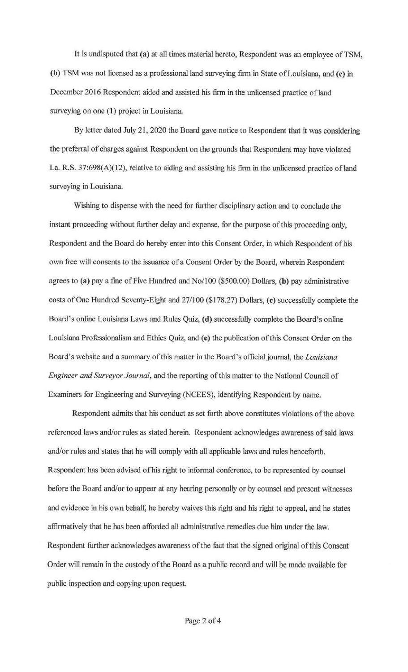It is undisputed that **(a)** at all times material hereto, Respondent was an employee ofTSM, **(b)** TSM was not licensed as a professional land surveying firm in State of Louisiana, and (c) in December 2016 Respondent aided and assisted his firm in the unlicensed practice of land surveying on one (1) project in Louisiana.

By letter dated July 21, 2020 the Board gave notice to Respondent that it was considering the preferra1 of charges against Respondent on the grounds that Respondent may have violated La. R.S. 37:698(A)(12), relative to aiding and assisting his firm in the unlicensed practice of land surveying in Louisiana.

Wishing to dispense with the need for further disciplinary action and to conclude the instant proceeding without further delay and expense, for the purpose of this proceeding only, Respondent and the Board do hereby enter into this Consent Order, in which Respondent of his own free will consents to the issuance of a Consent Order by the Board, wherein Respondent agrees to **(a)** pay a fine of Five Hundred and No/100 (\$500.00) Dollars, **(b)** pay administrative costs of One Hundred Seventy-Eight and 27 / 100 (\$178.27) Dollars, ( **c)** successfully complete the Board's online Louisiana Laws and Rules Quiz, **(d)** successfully complete the Board's online Louisiana Professionalism and Ethics Quiz, and **(e)** the publication of this Consent Order on the Board's website and a summary of this matter in the Board's official journal, the *Louisiana Engineer and Surveyor Journal,* and the reporting of this matter to the National Council of Examiners for Engineering and Surveying (NCEES), identifying Respondent by name.

Respondent admits that his conduct as set forth above constitutes violations of the above referenced laws and/or rules as stated herein. Respondent acknowledges awareness of said laws and/or rules and states that he will comply with all applicable laws and rules henceforth. Respondent has been advised of his right to informal conference, to be represented by counsel before the Board and/or to appear at any hearing personally or by counsel and present witnesses and evidence in his own behalf, he hereby waives this right and his right to appeal, and he states affirmatively that he has been afforded all administrative remedies due him under the law. Respondent further acknowledges awareness of the fact that the signed original ofthis Consent Order will remain in the custody of the Board as a public record and will be made available for public inspection and copying upon request.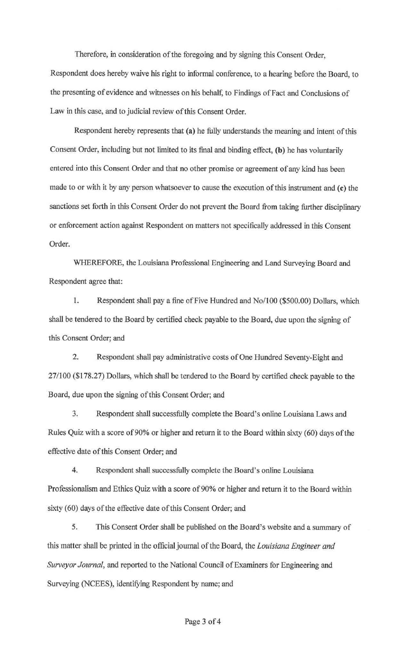Therefore, in consideration of the foregoing and by signing this Consent Order, Respondent does hereby waive his right to informal conference, to a hearing before the Board, to the presenting of evidence and witnesses on his behalf, to Findings of Fact and Conclusions of Law in this case, and to judicial review of this Consent Order.

Respondent hereby represents that (a) he fully understands the meaning and intent of this Consent Order, including but not limited to its final and binding effect, **(b)** he has voluntarily entered into this Consent Order and that no other promise or agreement of any kind has been made to or with it by any person whatsoever to cause the execution of this instrument and **(c)** the sanctions set forth in this Consent Order do not prevent the Board from taking further disciplinary or enforcement action against Respondent on matters not specifically addressed in this Consent Order.

WHEREFORE, the Louisiana Professional Engineering and Land Surveying Board and Respondent agree that:

1. Respondent shall pay a fine of Five Hundred and No/100 (\$500.00) DoIJars, which shall be tendered to the Board by certified check payable to the Board, due upon the signing of this Consent Order; and

2. Respondent shall pay administrative costs of One Hundred Seventy-Eight and 27 /100 (\$178.27) Dollars, which shall be tendered to the Board by certified check payable to the Board, due upon the signing of this Consent Order; and

3. Respondent shall successfully complete the Board's online Louisiana Laws and Rules Quiz with a score of 90% or higher and return it to the Board within sixty (60) days of the effective date of this Consent Order; and

4. Respondent shall successfully complete the Board's online Louisiana Professionalism and Ethics Quiz with a score of 90% or higher and return it to the Board within sixty (60) days of the effective date of this Consent Order; and

5. This Consent Order shall be published on the Board's website and a summary of this matter shall be printed in the officialjoumal of the Board, the *Louisiana Engineer and Surveyor Journal,* and reported to the National Council of Examiners for Engineering and Surveying (NCEES), identifying Respondent by name; and